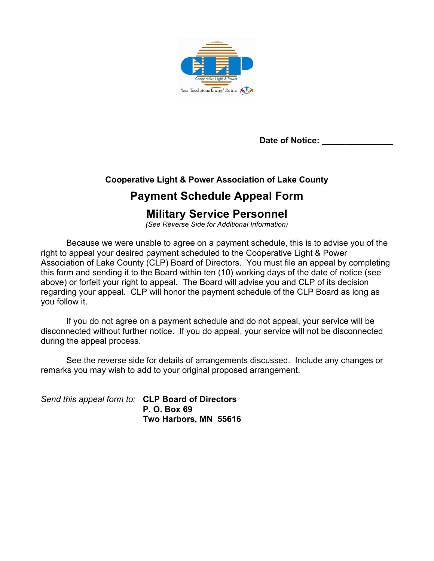

**Date of Notice: \_\_\_\_\_\_\_\_\_\_\_\_\_\_\_**

### **Cooperative Light & Power Association of Lake County**

## **Payment Schedule Appeal Form**

## **Military Service Personnel**

*(See Reverse Side for Additional Information)*

Because we were unable to agree on a payment schedule, this is to advise you of the right to appeal your desired payment scheduled to the Cooperative Light & Power Association of Lake County (CLP) Board of Directors. You must file an appeal by completing this form and sending it to the Board within ten (10) working days of the date of notice (see above) or forfeit your right to appeal. The Board will advise you and CLP of its decision regarding your appeal. CLP will honor the payment schedule of the CLP Board as long as you follow it.

If you do not agree on a payment schedule and do not appeal, your service will be disconnected without further notice. If you do appeal, your service will not be disconnected during the appeal process.

See the reverse side for details of arrangements discussed. Include any changes or remarks you may wish to add to your original proposed arrangement.

*Send this appeal form to:* **CLP Board of Directors P. O. Box 69 Two Harbors, MN 55616**